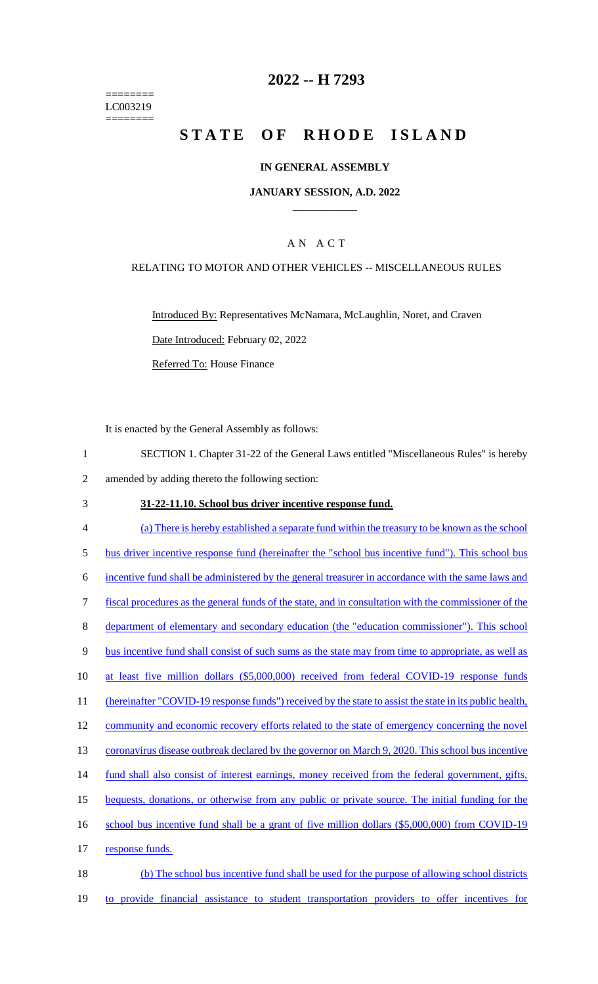======== LC003219 ========

# **2022 -- H 7293**

# **STATE OF RHODE ISLAND**

### **IN GENERAL ASSEMBLY**

### **JANUARY SESSION, A.D. 2022 \_\_\_\_\_\_\_\_\_\_\_\_**

## A N A C T

### RELATING TO MOTOR AND OTHER VEHICLES -- MISCELLANEOUS RULES

Introduced By: Representatives McNamara, McLaughlin, Noret, and Craven Date Introduced: February 02, 2022 Referred To: House Finance

It is enacted by the General Assembly as follows:

1 SECTION 1. Chapter 31-22 of the General Laws entitled "Miscellaneous Rules" is hereby 2 amended by adding thereto the following section:

#### 3 **31-22-11.10. School bus driver incentive response fund.**

- 4 (a) There is hereby established a separate fund within the treasury to be known as the school 5 bus driver incentive response fund (hereinafter the "school bus incentive fund"). This school bus 6 incentive fund shall be administered by the general treasurer in accordance with the same laws and 7 fiscal procedures as the general funds of the state, and in consultation with the commissioner of the 8 department of elementary and secondary education (the "education commissioner"). This school 9 bus incentive fund shall consist of such sums as the state may from time to appropriate, as well as 10 at least five million dollars (\$5,000,000) received from federal COVID-19 response funds 11 (hereinafter "COVID-19 response funds") received by the state to assist the state in its public health, 12 community and economic recovery efforts related to the state of emergency concerning the novel 13 coronavirus disease outbreak declared by the governor on March 9, 2020. This school bus incentive 14 fund shall also consist of interest earnings, money received from the federal government, gifts, 15 bequests, donations, or otherwise from any public or private source. The initial funding for the 16 school bus incentive fund shall be a grant of five million dollars (\$5,000,000) from COVID-19 17 response funds. 18 (b) The school bus incentive fund shall be used for the purpose of allowing school districts
- 19 to provide financial assistance to student transportation providers to offer incentives for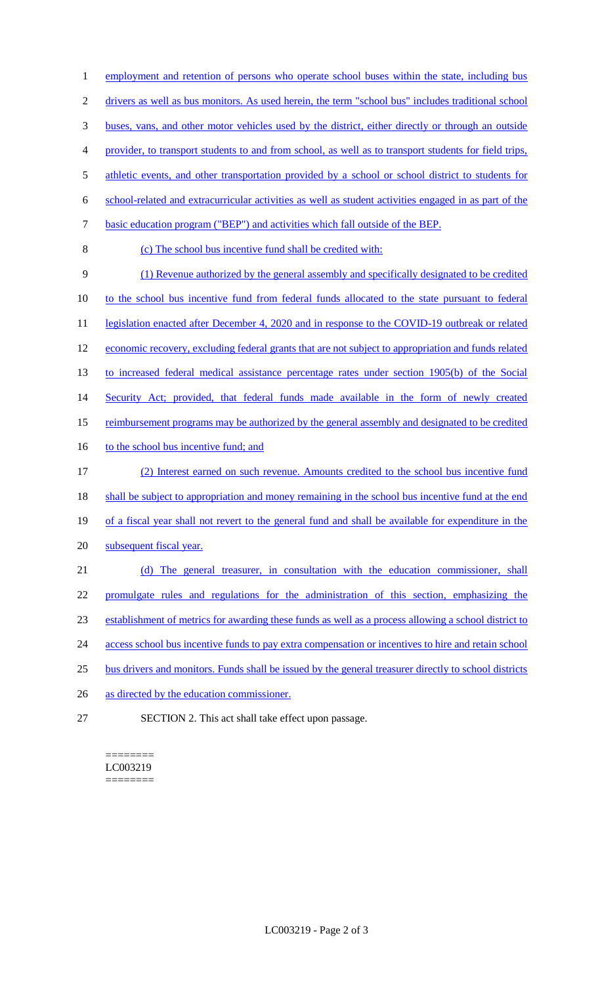1 employment and retention of persons who operate school buses within the state, including bus 2 drivers as well as bus monitors. As used herein, the term "school bus" includes traditional school buses, vans, and other motor vehicles used by the district, either directly or through an outside provider, to transport students to and from school, as well as to transport students for field trips, 5 athletic events, and other transportation provided by a school or school district to students for school-related and extracurricular activities as well as student activities engaged in as part of the basic education program ("BEP") and activities which fall outside of the BEP. (c) The school bus incentive fund shall be credited with: (1) Revenue authorized by the general assembly and specifically designated to be credited to the school bus incentive fund from federal funds allocated to the state pursuant to federal 11 legislation enacted after December 4, 2020 and in response to the COVID-19 outbreak or related 12 economic recovery, excluding federal grants that are not subject to appropriation and funds related to increased federal medical assistance percentage rates under section 1905(b) of the Social 14 Security Act; provided, that federal funds made available in the form of newly created 15 reimbursement programs may be authorized by the general assembly and designated to be credited 16 to the school bus incentive fund; and (2) Interest earned on such revenue. Amounts credited to the school bus incentive fund 18 shall be subject to appropriation and money remaining in the school bus incentive fund at the end of a fiscal year shall not revert to the general fund and shall be available for expenditure in the subsequent fiscal year. (d) The general treasurer, in consultation with the education commissioner, shall promulgate rules and regulations for the administration of this section, emphasizing the establishment of metrics for awarding these funds as well as a process allowing a school district to 24 access school bus incentive funds to pay extra compensation or incentives to hire and retain school bus drivers and monitors. Funds shall be issued by the general treasurer directly to school districts as directed by the education commissioner. SECTION 2. This act shall take effect upon passage.

======== LC003219 ========